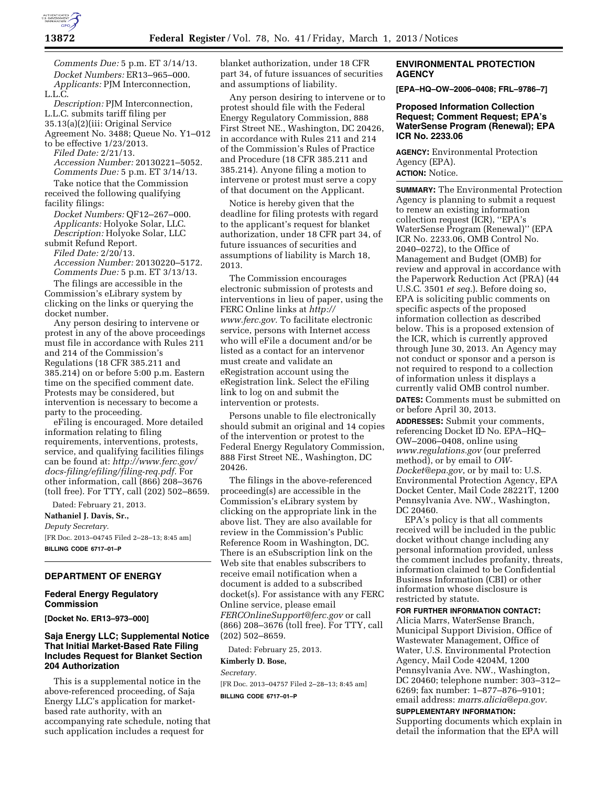

*Comments Due:* 5 p.m. ET 3/14/13. *Docket Numbers:* ER13–965–000. *Applicants:* PJM Interconnection, L.L.C.

*Description:* PJM Interconnection, L.L.C. submits tariff filing per 35.13(a)(2)(iii: Original Service Agreement No. 3488; Queue No. Y1–012

to be effective 1/23/2013. *Filed Date:* 2/21/13. *Accession Number:* 20130221–5052. *Comments Due:* 5 p.m. ET 3/14/13.

Take notice that the Commission received the following qualifying facility filings:

*Docket Numbers:* QF12–267–000. *Applicants:* Holyoke Solar, LLC. *Description:* Holyoke Solar, LLC submit Refund Report.

*Filed Date:* 2/20/13. *Accession Number:* 20130220–5172.

*Comments Due:* 5 p.m. ET 3/13/13. The filings are accessible in the

Commission's eLibrary system by clicking on the links or querying the docket number.

Any person desiring to intervene or protest in any of the above proceedings must file in accordance with Rules 211 and 214 of the Commission's Regulations (18 CFR 385.211 and 385.214) on or before 5:00 p.m. Eastern time on the specified comment date. Protests may be considered, but intervention is necessary to become a party to the proceeding.

eFiling is encouraged. More detailed information relating to filing requirements, interventions, protests, service, and qualifying facilities filings can be found at: *[http://www.ferc.gov/](http://www.ferc.gov/docs-filing/efiling/filing-req.pdf)  [docs-filing/efiling/filing-req.pdf.](http://www.ferc.gov/docs-filing/efiling/filing-req.pdf)* For other information, call (866) 208–3676 (toll free). For TTY, call (202) 502–8659.

Dated: February 21, 2013.

**Nathaniel J. Davis, Sr.,**  *Deputy Secretary.*  [FR Doc. 2013–04745 Filed 2–28–13; 8:45 am] **BILLING CODE 6717–01–P** 

### **DEPARTMENT OF ENERGY**

## **Federal Energy Regulatory Commission**

**[Docket No. ER13–973–000]** 

# **Saja Energy LLC; Supplemental Notice That Initial Market-Based Rate Filing Includes Request for Blanket Section 204 Authorization**

This is a supplemental notice in the above-referenced proceeding, of Saja Energy LLC's application for marketbased rate authority, with an accompanying rate schedule, noting that such application includes a request for

blanket authorization, under 18 CFR part 34, of future issuances of securities and assumptions of liability.

Any person desiring to intervene or to protest should file with the Federal Energy Regulatory Commission, 888 First Street NE., Washington, DC 20426, in accordance with Rules 211 and 214 of the Commission's Rules of Practice and Procedure (18 CFR 385.211 and 385.214). Anyone filing a motion to intervene or protest must serve a copy of that document on the Applicant.

Notice is hereby given that the deadline for filing protests with regard to the applicant's request for blanket authorization, under 18 CFR part 34, of future issuances of securities and assumptions of liability is March 18, 2013.

The Commission encourages electronic submission of protests and interventions in lieu of paper, using the FERC Online links at *[http://](http://www.ferc.gov)  [www.ferc.gov.](http://www.ferc.gov)* To facilitate electronic service, persons with Internet access who will eFile a document and/or be listed as a contact for an intervenor must create and validate an eRegistration account using the eRegistration link. Select the eFiling link to log on and submit the intervention or protests.

Persons unable to file electronically should submit an original and 14 copies of the intervention or protest to the Federal Energy Regulatory Commission, 888 First Street NE., Washington, DC 20426.

The filings in the above-referenced proceeding(s) are accessible in the Commission's eLibrary system by clicking on the appropriate link in the above list. They are also available for review in the Commission's Public Reference Room in Washington, DC. There is an eSubscription link on the Web site that enables subscribers to receive email notification when a document is added to a subscribed docket(s). For assistance with any FERC Online service, please email *[FERCOnlineSupport@ferc.gov](mailto:FERCOnlineSupport@ferc.gov)* or call (866) 208–3676 (toll free). For TTY, call (202) 502–8659.

Dated: February 25, 2013.

#### **Kimberly D. Bose,**

*Secretary.*  [FR Doc. 2013–04757 Filed 2–28–13; 8:45 am] **BILLING CODE 6717–01–P** 

**ENVIRONMENTAL PROTECTION AGENCY** 

**[EPA–HQ–OW–2006–0408; FRL–9786–7]** 

### **Proposed Information Collection Request; Comment Request; EPA's WaterSense Program (Renewal); EPA ICR No. 2233.06**

**AGENCY:** Environmental Protection Agency (EPA). **ACTION:** Notice.

**SUMMARY:** The Environmental Protection Agency is planning to submit a request to renew an existing information collection request (ICR), ''EPA's WaterSense Program (Renewal)'' (EPA ICR No. 2233.06, OMB Control No. 2040–0272), to the Office of Management and Budget (OMB) for review and approval in accordance with the Paperwork Reduction Act (PRA) (44 U.S.C. 3501 *et seq.*). Before doing so, EPA is soliciting public comments on specific aspects of the proposed information collection as described below. This is a proposed extension of the ICR, which is currently approved through June 30, 2013. An Agency may not conduct or sponsor and a person is not required to respond to a collection of information unless it displays a currently valid OMB control number. **DATES:** Comments must be submitted on or before April 30, 2013.

**ADDRESSES:** Submit your comments, referencing Docket ID No. EPA–HQ– OW–2006–0408, online using *[www.regulations.gov](http://www.regulations.gov)* (our preferred method), or by email to *[OW-](mailto:OW-Docket@epa.gov)[Docket@epa.gov](mailto:OW-Docket@epa.gov)*, or by mail to: U.S. Environmental Protection Agency, EPA Docket Center, Mail Code 28221T, 1200 Pennsylvania Ave. NW., Washington, DC 20460.

EPA's policy is that all comments received will be included in the public docket without change including any personal information provided, unless the comment includes profanity, threats, information claimed to be Confidential Business Information (CBI) or other information whose disclosure is restricted by statute.

#### **FOR FURTHER INFORMATION CONTACT:**

Alicia Marrs, WaterSense Branch, Municipal Support Division, Office of Wastewater Management, Office of Water, U.S. Environmental Protection Agency, Mail Code 4204M, 1200 Pennsylvania Ave. NW., Washington, DC 20460; telephone number: 303–312– 6269; fax number: 1–877–876–9101; email address: *[marrs.alicia@epa.gov.](mailto:marrs.alicia@epa.gov)* 

## **SUPPLEMENTARY INFORMATION:**

Supporting documents which explain in detail the information that the EPA will